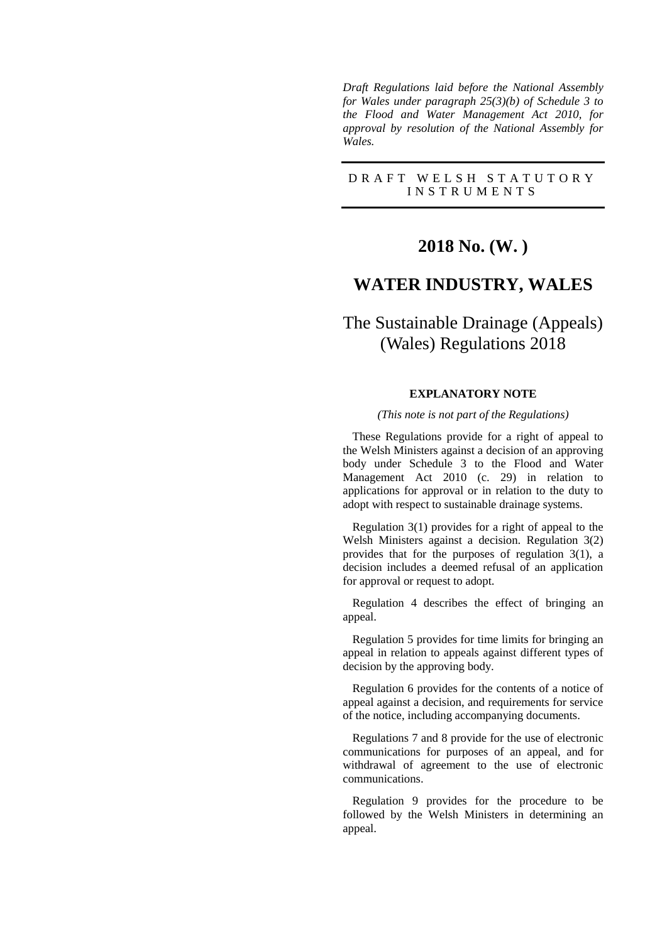*Draft Regulations laid before the National Assembly for Wales under paragraph 25(3)(b) of Schedule 3 to the Flood and Water Management Act 2010, for approval by resolution of the National Assembly for Wales.*

# D R A F T W E L S H S T A T U T O R Y I N S T R U M E N T S

# **2018 No. (W. )**

# **WATER INDUSTRY, WALES**

# The Sustainable Drainage (Appeals) (Wales) Regulations 2018

## **EXPLANATORY NOTE**

#### *(This note is not part of the Regulations)*

These Regulations provide for a right of appeal to the Welsh Ministers against a decision of an approving body under Schedule 3 to the Flood and Water Management Act 2010 (c. 29) in relation to applications for approval or in relation to the duty to adopt with respect to sustainable drainage systems.

Regulation 3(1) provides for a right of appeal to the Welsh Ministers against a decision. Regulation 3(2) provides that for the purposes of regulation 3(1), a decision includes a deemed refusal of an application for approval or request to adopt.

Regulation 4 describes the effect of bringing an appeal.

Regulation 5 provides for time limits for bringing an appeal in relation to appeals against different types of decision by the approving body.

Regulation 6 provides for the contents of a notice of appeal against a decision, and requirements for service of the notice, including accompanying documents.

Regulations 7 and 8 provide for the use of electronic communications for purposes of an appeal, and for withdrawal of agreement to the use of electronic communications.

Regulation 9 provides for the procedure to be followed by the Welsh Ministers in determining an appeal.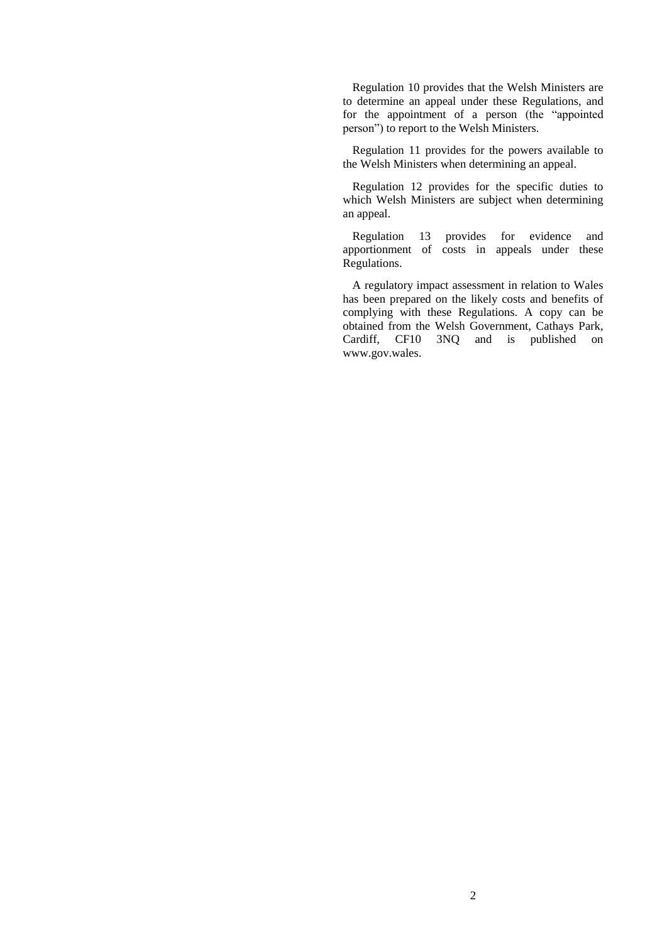Regulation 10 provides that the Welsh Ministers are to determine an appeal under these Regulations, and for the appointment of a person (the "appointed person") to report to the Welsh Ministers.

Regulation 11 provides for the powers available to the Welsh Ministers when determining an appeal.

Regulation 12 provides for the specific duties to which Welsh Ministers are subject when determining an appeal.

Regulation 13 provides for evidence and apportionment of costs in appeals under these Regulations.

A regulatory impact assessment in relation to Wales has been prepared on the likely costs and benefits of complying with these Regulations. A copy can be obtained from the Welsh Government, Cathays Park, Cardiff, CF10 3NQ and is published on www.gov.wales.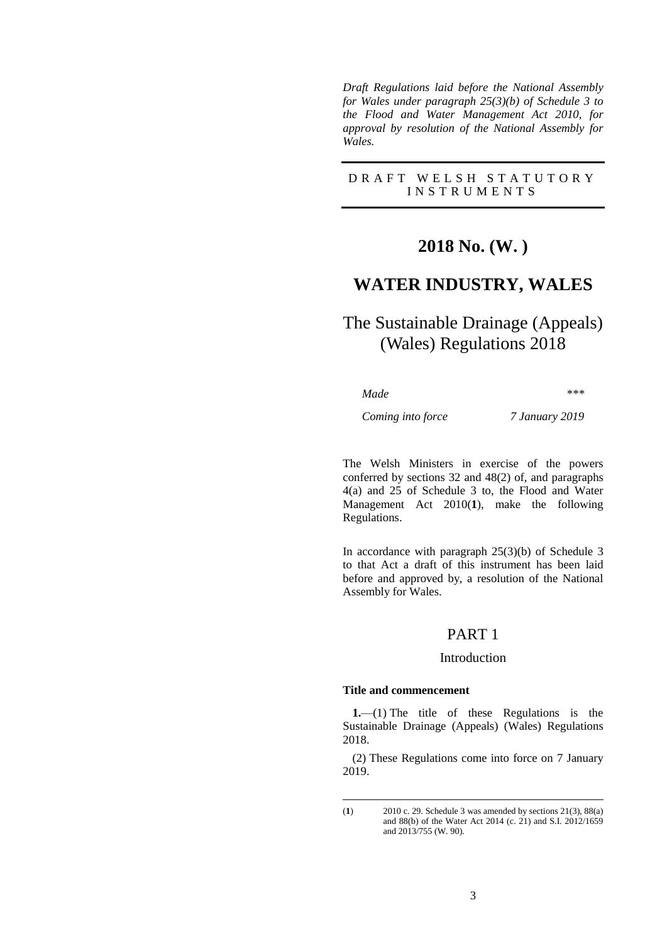*Draft Regulations laid before the National Assembly for Wales under paragraph 25(3)(b) of Schedule 3 to the Flood and Water Management Act 2010, for approval by resolution of the National Assembly for Wales.*

## D R A F T W E L S H S T A T U T O R Y I N S T R U M E N T S

# **2018 No. (W. )**

# **WATER INDUSTRY, WALES**

# The Sustainable Drainage (Appeals) (Wales) Regulations 2018

*Made \*\*\**

*Coming into force 7 January 2019*

The Welsh Ministers in exercise of the powers conferred by sections 32 and 48(2) of, and paragraphs 4(a) and 25 of Schedule 3 to, the Flood and Water Management Act 2010(**1**), make the following Regulations.

In accordance with paragraph 25(3)(b) of Schedule 3 to that Act a draft of this instrument has been laid before and approved by, a resolution of the National Assembly for Wales.

# PART 1

## Introduction

#### **Title and commencement**

1

**1.**—(1) The title of these Regulations is the Sustainable Drainage (Appeals) (Wales) Regulations 2018.

(2) These Regulations come into force on 7 January 2019.

<sup>(</sup>**1**) 2010 c. 29. Schedule 3 was amended by sections 21(3), 88(a) and 88(b) of the Water Act 2014 (c. 21) and S.I. 2012/1659 and 2013/755 (W. 90).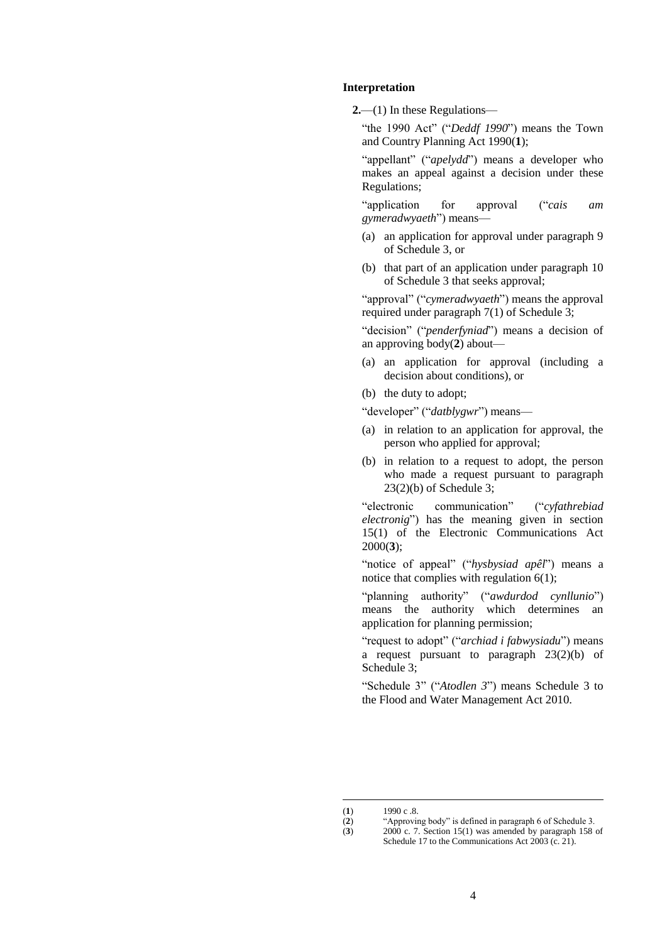#### **Interpretation**

**2.**—(1) In these Regulations—

"the 1990 Act" ("*Deddf 1990*") means the Town and Country Planning Act 1990(**1**);

"appellant" ("*apelydd*") means a developer who makes an appeal against a decision under these Regulations;

"application for approval ("*cais am gymeradwyaeth*") means—

- (a) an application for approval under paragraph 9 of Schedule 3, or
- (b) that part of an application under paragraph 10 of Schedule 3 that seeks approval;

"approval" ("*cymeradwyaeth*") means the approval required under paragraph 7(1) of Schedule 3;

"decision" ("*penderfyniad*") means a decision of an approving body(**2**) about—

- (a) an application for approval (including a decision about conditions), or
- (b) the duty to adopt;

"developer" ("*datblygwr*") means—

- (a) in relation to an application for approval, the person who applied for approval;
- (b) in relation to a request to adopt, the person who made a request pursuant to paragraph  $23(2)(b)$  of Schedule 3:

"electronic communication" ("*cyfathrebiad electronig*") has the meaning given in section 15(1) of the Electronic Communications Act 2000(**3**);

"notice of appeal" ("*hysbysiad apêl*") means a notice that complies with regulation 6(1);

"planning authority" ("*awdurdod cynllunio*") means the authority which determines an application for planning permission;

"request to adopt" ("*archiad i fabwysiadu*") means a request pursuant to paragraph 23(2)(b) of Schedule 3;

"Schedule 3" ("*Atodlen 3*") means Schedule 3 to the Flood and Water Management Act 2010.

1

(**3**) 2000 c. 7. Section 15(1) was amended by paragraph 158 of Schedule 17 to the Communications Act 2003 (c. 21).

 $(1)$  1990 c .8.

<sup>(</sup>**2**) "Approving body" is defined in paragraph 6 of Schedule 3.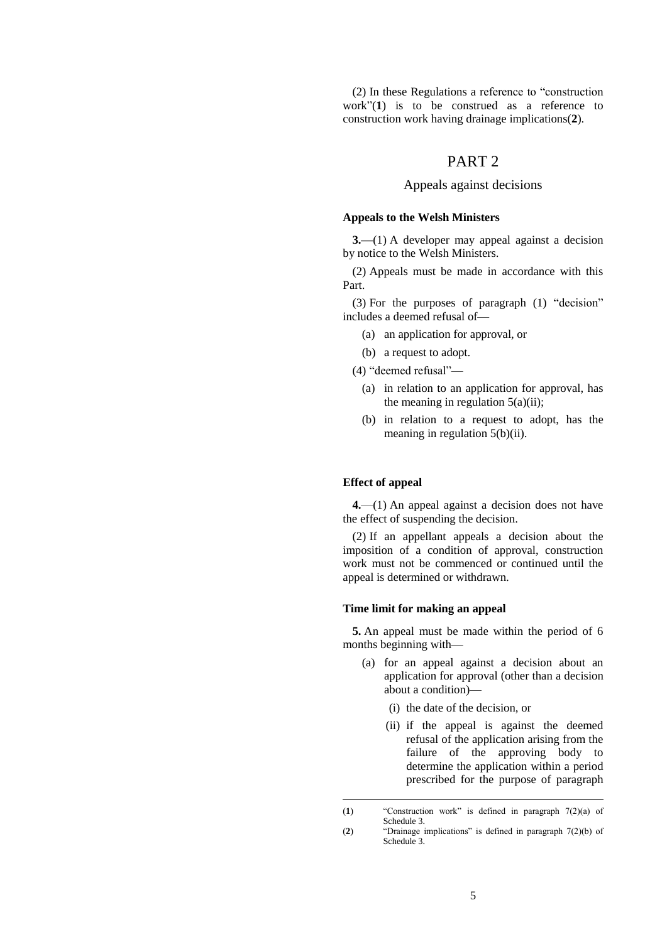(2) In these Regulations a reference to "construction work"(**1**) is to be construed as a reference to construction work having drainage implications(**2**).

# PART 2

# Appeals against decisions

#### **Appeals to the Welsh Ministers**

**3.**—(1) A developer may appeal against a decision by notice to the Welsh Ministers.

(2) Appeals must be made in accordance with this Part.

(3) For the purposes of paragraph (1) "decision" includes a deemed refusal of—

- (a) an application for approval, or
- (b) a request to adopt.
- (4) "deemed refusal"—
	- (a) in relation to an application for approval, has the meaning in regulation  $5(a)(ii)$ ;
	- (b) in relation to a request to adopt, has the meaning in regulation 5(b)(ii).

#### **Effect of appeal**

1

**4.**—(1) An appeal against a decision does not have the effect of suspending the decision.

(2) If an appellant appeals a decision about the imposition of a condition of approval, construction work must not be commenced or continued until the appeal is determined or withdrawn.

#### **Time limit for making an appeal**

**5.** An appeal must be made within the period of 6 months beginning with—

- (a) for an appeal against a decision about an application for approval (other than a decision about a condition)—
	- (i) the date of the decision, or
	- (ii) if the appeal is against the deemed refusal of the application arising from the failure of the approving body to determine the application within a period prescribed for the purpose of paragraph

<sup>(</sup>**1**) "Construction work" is defined in paragraph 7(2)(a) of Schedule 3.

<sup>(</sup>**2**) "Drainage implications" is defined in paragraph 7(2)(b) of Schedule 3.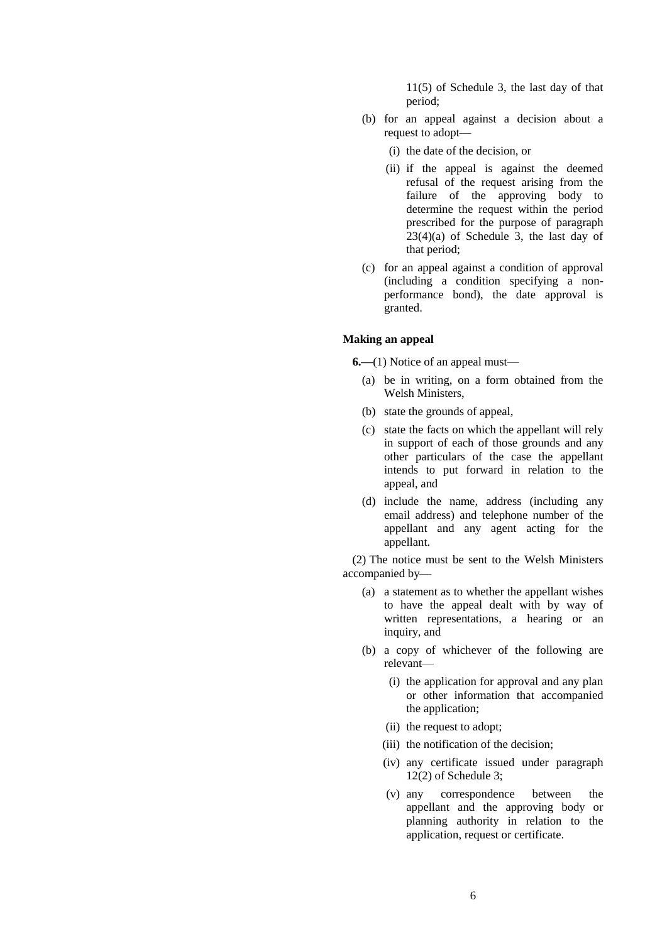11(5) of Schedule 3, the last day of that period;

- (b) for an appeal against a decision about a request to adopt—
	- (i) the date of the decision, or
	- (ii) if the appeal is against the deemed refusal of the request arising from the failure of the approving body to determine the request within the period prescribed for the purpose of paragraph  $23(4)(a)$  of Schedule 3, the last day of that period;
- (c) for an appeal against a condition of approval (including a condition specifying a nonperformance bond), the date approval is granted.

## **Making an appeal**

**6.—**(1) Notice of an appeal must—

- (a) be in writing, on a form obtained from the Welsh Ministers,
- (b) state the grounds of appeal,
- (c) state the facts on which the appellant will rely in support of each of those grounds and any other particulars of the case the appellant intends to put forward in relation to the appeal, and
- (d) include the name, address (including any email address) and telephone number of the appellant and any agent acting for the appellant.

(2) The notice must be sent to the Welsh Ministers accompanied by—

- (a) a statement as to whether the appellant wishes to have the appeal dealt with by way of written representations, a hearing or an inquiry, and
- (b) a copy of whichever of the following are relevant—
	- (i) the application for approval and any plan or other information that accompanied the application;
	- (ii) the request to adopt;
	- (iii) the notification of the decision;
	- (iv) any certificate issued under paragraph 12(2) of Schedule 3;
	- (v) any correspondence between the appellant and the approving body or planning authority in relation to the application, request or certificate.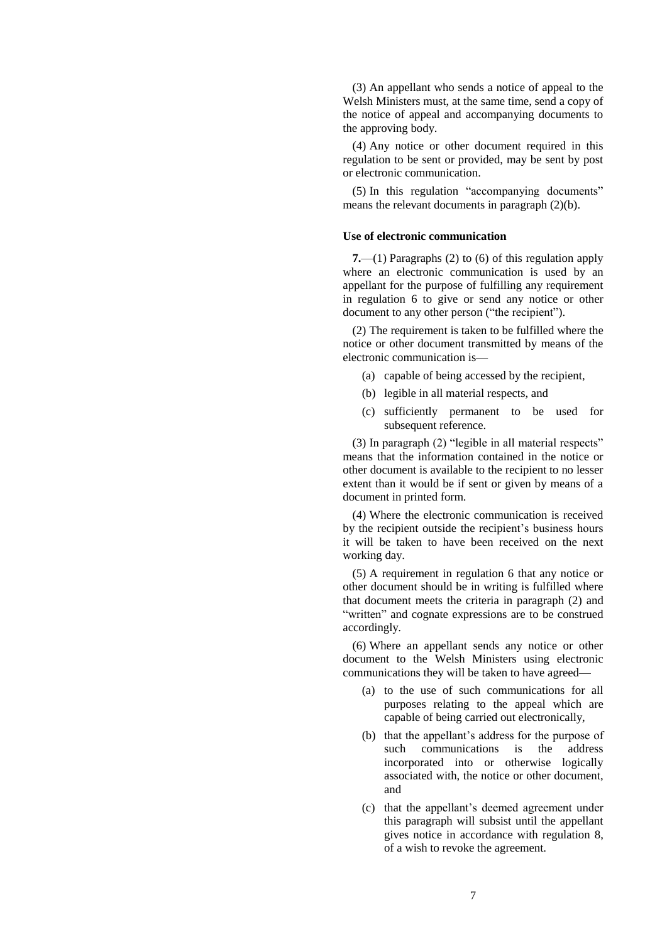(3) An appellant who sends a notice of appeal to the Welsh Ministers must, at the same time, send a copy of the notice of appeal and accompanying documents to the approving body.

(4) Any notice or other document required in this regulation to be sent or provided, may be sent by post or electronic communication.

(5) In this regulation "accompanying documents" means the relevant documents in paragraph (2)(b).

### **Use of electronic communication**

**7.**—(1) Paragraphs (2) to (6) of this regulation apply where an electronic communication is used by an appellant for the purpose of fulfilling any requirement in regulation 6 to give or send any notice or other document to any other person ("the recipient").

(2) The requirement is taken to be fulfilled where the notice or other document transmitted by means of the electronic communication is—

- (a) capable of being accessed by the recipient,
- (b) legible in all material respects, and
- (c) sufficiently permanent to be used for subsequent reference.

(3) In paragraph (2) "legible in all material respects" means that the information contained in the notice or other document is available to the recipient to no lesser extent than it would be if sent or given by means of a document in printed form.

(4) Where the electronic communication is received by the recipient outside the recipient's business hours it will be taken to have been received on the next working day.

(5) A requirement in regulation 6 that any notice or other document should be in writing is fulfilled where that document meets the criteria in paragraph (2) and "written" and cognate expressions are to be construed accordingly.

(6) Where an appellant sends any notice or other document to the Welsh Ministers using electronic communications they will be taken to have agreed—

- (a) to the use of such communications for all purposes relating to the appeal which are capable of being carried out electronically,
- (b) that the appellant's address for the purpose of such communications is the address incorporated into or otherwise logically associated with, the notice or other document, and
- (c) that the appellant's deemed agreement under this paragraph will subsist until the appellant gives notice in accordance with regulation 8, of a wish to revoke the agreement.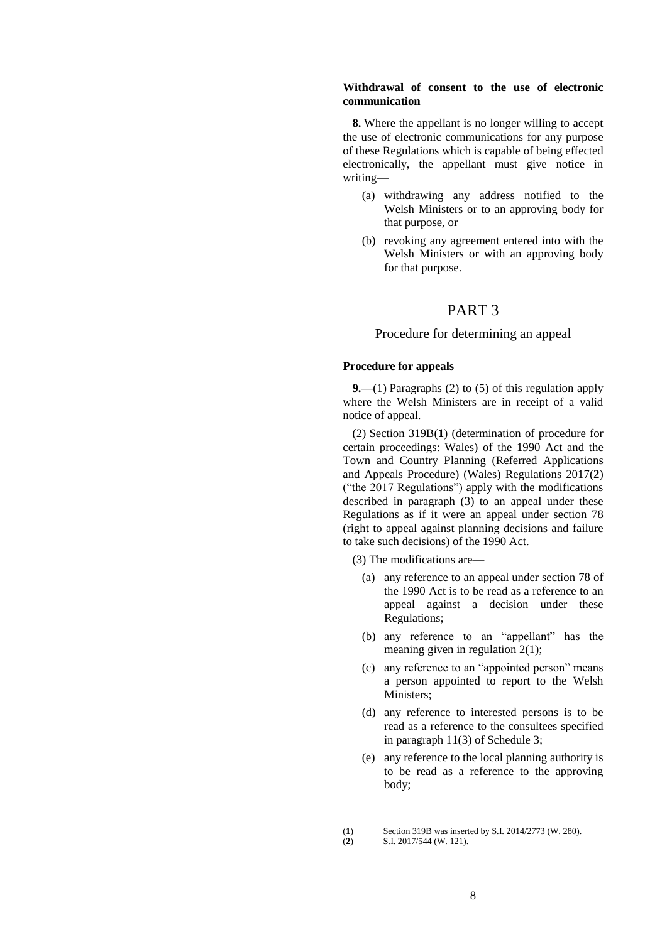## **Withdrawal of consent to the use of electronic communication**

**8.** Where the appellant is no longer willing to accept the use of electronic communications for any purpose of these Regulations which is capable of being effected electronically, the appellant must give notice in writing—

- (a) withdrawing any address notified to the Welsh Ministers or to an approving body for that purpose, or
- (b) revoking any agreement entered into with the Welsh Ministers or with an approving body for that purpose.

# PART 3

## Procedure for determining an appeal

### **Procedure for appeals**

**9.—**(1) Paragraphs (2) to (5) of this regulation apply where the Welsh Ministers are in receipt of a valid notice of appeal.

(2) Section 319B(**1**) (determination of procedure for certain proceedings: Wales) of the 1990 Act and the Town and Country Planning (Referred Applications and Appeals Procedure) (Wales) Regulations 2017(**2**) ("the 2017 Regulations") apply with the modifications described in paragraph (3) to an appeal under these Regulations as if it were an appeal under section 78 (right to appeal against planning decisions and failure to take such decisions) of the 1990 Act.

(3) The modifications are—

- (a) any reference to an appeal under section 78 of the 1990 Act is to be read as a reference to an appeal against a decision under these Regulations;
- (b) any reference to an "appellant" has the meaning given in regulation 2(1);
- (c) any reference to an "appointed person" means a person appointed to report to the Welsh Ministers;
- (d) any reference to interested persons is to be read as a reference to the consultees specified in paragraph 11(3) of Schedule 3;
- (e) any reference to the local planning authority is to be read as a reference to the approving body;

1

<sup>(</sup>**1**) Section 319B was inserted by S.I. 2014/2773 (W. 280).<br>(**2**) S.I. 2017/544 (W. 121).

<sup>(</sup>**2**) S.I. 2017/544 (W. 121).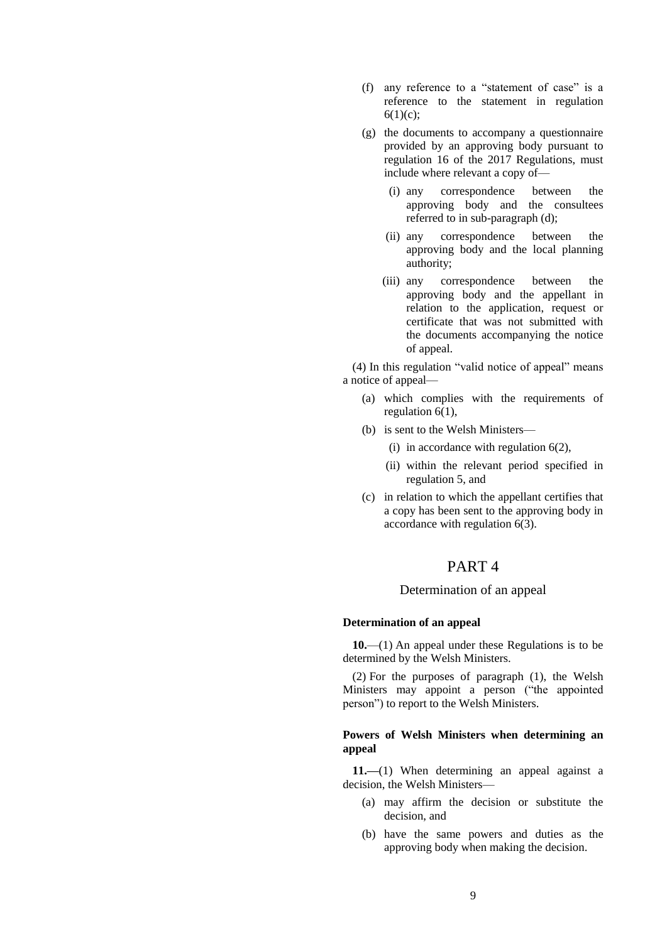- (f) any reference to a "statement of case" is a reference to the statement in regulation  $6(1)(c)$ ;
- (g) the documents to accompany a questionnaire provided by an approving body pursuant to regulation 16 of the 2017 Regulations, must include where relevant a copy of—
	- (i) any correspondence between the approving body and the consultees referred to in sub-paragraph (d);
	- (ii) any correspondence between the approving body and the local planning authority;
	- (iii) any correspondence between the approving body and the appellant in relation to the application, request or certificate that was not submitted with the documents accompanying the notice of appeal.

(4) In this regulation "valid notice of appeal" means a notice of appeal—

- (a) which complies with the requirements of regulation 6(1),
- (b) is sent to the Welsh Ministers—
	- (i) in accordance with regulation  $6(2)$ ,
	- (ii) within the relevant period specified in regulation 5, and
- (c) in relation to which the appellant certifies that a copy has been sent to the approving body in accordance with regulation 6(3).

# PART 4

### Determination of an appeal

#### **Determination of an appeal**

**10.**—(1) An appeal under these Regulations is to be determined by the Welsh Ministers.

(2) For the purposes of paragraph (1), the Welsh Ministers may appoint a person ("the appointed person") to report to the Welsh Ministers.

### **Powers of Welsh Ministers when determining an appeal**

**11.—**(1) When determining an appeal against a decision, the Welsh Ministers—

- (a) may affirm the decision or substitute the decision, and
- (b) have the same powers and duties as the approving body when making the decision.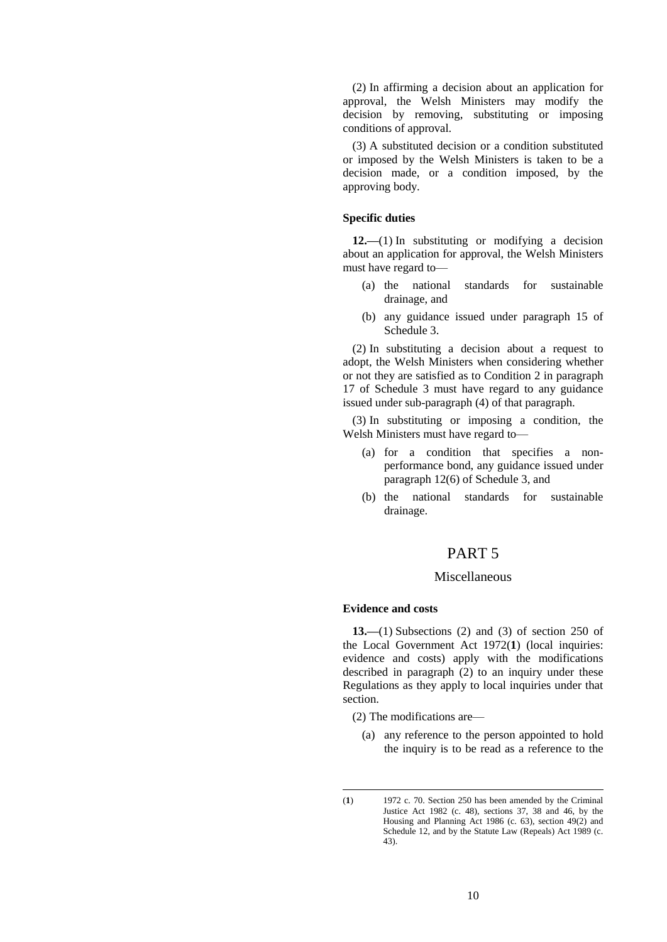(2) In affirming a decision about an application for approval, the Welsh Ministers may modify the decision by removing, substituting or imposing conditions of approval.

(3) A substituted decision or a condition substituted or imposed by the Welsh Ministers is taken to be a decision made, or a condition imposed, by the approving body.

#### **Specific duties**

**12.—**(1) In substituting or modifying a decision about an application for approval, the Welsh Ministers must have regard to—

- (a) the national standards for sustainable drainage, and
- (b) any guidance issued under paragraph 15 of Schedule 3.

(2) In substituting a decision about a request to adopt, the Welsh Ministers when considering whether or not they are satisfied as to Condition 2 in paragraph 17 of Schedule 3 must have regard to any guidance issued under sub-paragraph (4) of that paragraph.

(3) In substituting or imposing a condition, the Welsh Ministers must have regard to—

- (a) for a condition that specifies a nonperformance bond, any guidance issued under paragraph 12(6) of Schedule 3, and
- (b) the national standards for sustainable drainage.

# PART 5

# Miscellaneous

#### **Evidence and costs**

**13.—**(1) Subsections (2) and (3) of section 250 of the Local Government Act 1972(**1**) (local inquiries: evidence and costs) apply with the modifications described in paragraph (2) to an inquiry under these Regulations as they apply to local inquiries under that section.

(2) The modifications are—

(a) any reference to the person appointed to hold the inquiry is to be read as a reference to the

-

<sup>(</sup>**1**) 1972 c. 70. Section 250 has been amended by the Criminal Justice Act 1982 (c. 48), sections 37, 38 and 46, by the Housing and Planning Act 1986 (c. 63), section 49(2) and Schedule 12, and by the Statute Law (Repeals) Act 1989 (c. 43).